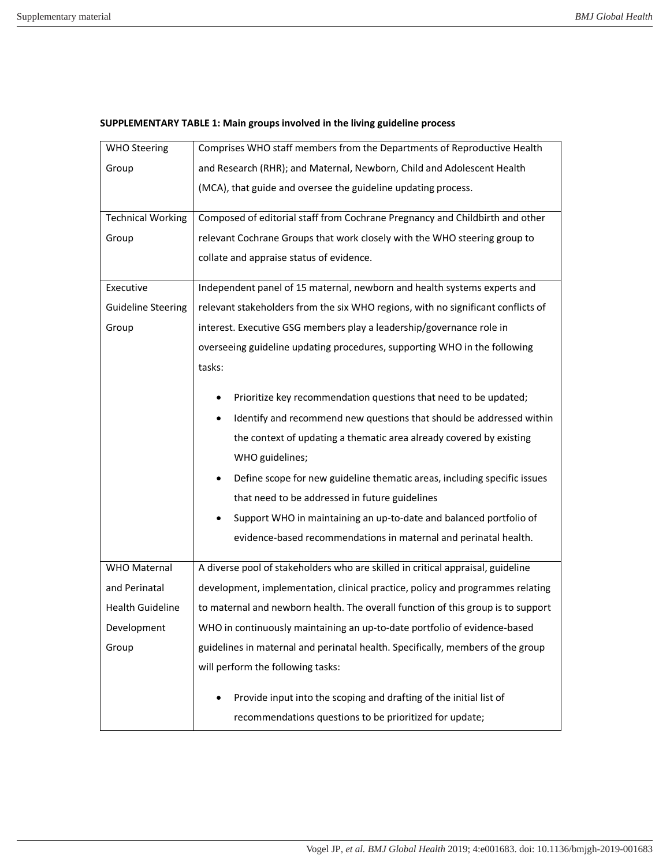| <b>WHO Steering</b>       | Comprises WHO staff members from the Departments of Reproductive Health          |
|---------------------------|----------------------------------------------------------------------------------|
| Group                     | and Research (RHR); and Maternal, Newborn, Child and Adolescent Health           |
|                           | (MCA), that guide and oversee the guideline updating process.                    |
| <b>Technical Working</b>  | Composed of editorial staff from Cochrane Pregnancy and Childbirth and other     |
| Group                     | relevant Cochrane Groups that work closely with the WHO steering group to        |
|                           | collate and appraise status of evidence.                                         |
| Executive                 | Independent panel of 15 maternal, newborn and health systems experts and         |
| <b>Guideline Steering</b> | relevant stakeholders from the six WHO regions, with no significant conflicts of |
| Group                     | interest. Executive GSG members play a leadership/governance role in             |
|                           | overseeing guideline updating procedures, supporting WHO in the following        |
|                           | tasks:                                                                           |
|                           | Prioritize key recommendation questions that need to be updated;                 |
|                           | Identify and recommend new questions that should be addressed within             |
|                           | the context of updating a thematic area already covered by existing              |
|                           | WHO guidelines;                                                                  |
|                           | Define scope for new guideline thematic areas, including specific issues         |
|                           | that need to be addressed in future guidelines                                   |
|                           | Support WHO in maintaining an up-to-date and balanced portfolio of               |
|                           | evidence-based recommendations in maternal and perinatal health.                 |
| <b>WHO Maternal</b>       | A diverse pool of stakeholders who are skilled in critical appraisal, guideline  |
| and Perinatal             | development, implementation, clinical practice, policy and programmes relating   |
| <b>Health Guideline</b>   | to maternal and newborn health. The overall function of this group is to support |
| Development               | WHO in continuously maintaining an up-to-date portfolio of evidence-based        |
| Group                     | guidelines in maternal and perinatal health. Specifically, members of the group  |
|                           | will perform the following tasks:                                                |
|                           | Provide input into the scoping and drafting of the initial list of               |
|                           | recommendations questions to be prioritized for update;                          |

## **SUPPLEMENTARY TABLE 1: Main groups involved in the living guideline process**